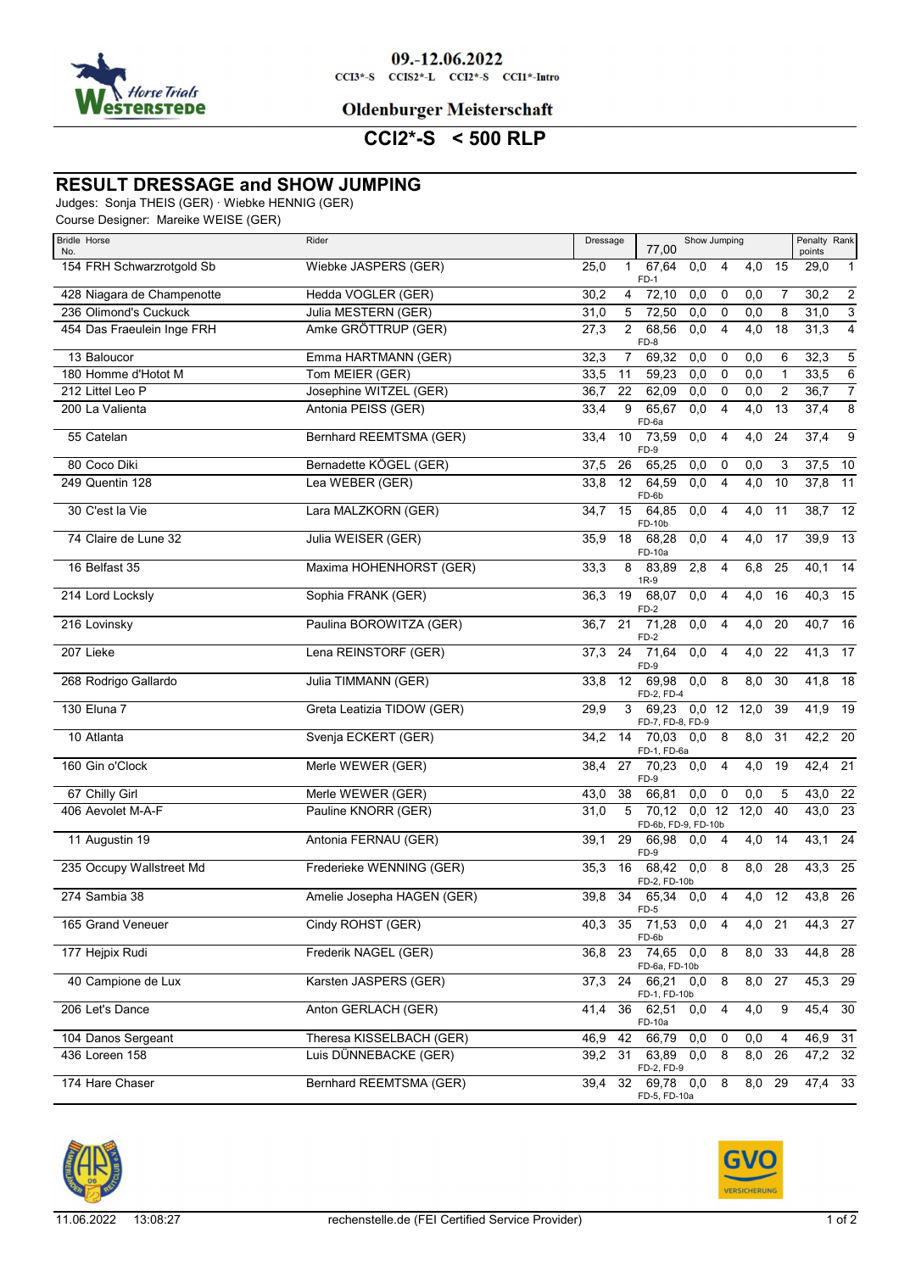

#### **Oldenburger Meisterschaft**

**CCI2\*-S < 500 RLP**

## **RESULT DRESSAGE and SHOW JUMPING**

Judges: Sonja THEIS (GER) · Wiebke HENNIG (GER)

Course Designer: Mareike WEISE (GER)

| <b>Bridle Horse</b><br>No. | Rider                      | Penalty Rank<br>Dressage<br>Show Jumping<br>77,00<br>points                                                          |
|----------------------------|----------------------------|----------------------------------------------------------------------------------------------------------------------|
| 154 FRH Schwarzrotgold Sb  | Wiebke JASPERS (GER)       | 67,64<br>25,0<br>15<br>$\mathbf{1}$<br>0,0<br>4<br>4,0<br>29,0<br>$\mathbf{1}$<br>$FD-1$                             |
| 428 Niagara de Champenotte | Hedda VOGLER (GER)         | $\overline{2}$<br>72,10<br>30,2<br>$\overline{4}$<br>0,0<br>0,0<br>7<br>30,2<br>0                                    |
| 236 Olimond's Cuckuck      | Julia MESTERN (GER)        | $\overline{3}$<br>72,50<br>0,0<br>31,0<br>31,0<br>5<br>0,0<br>$\mathbf 0$<br>8                                       |
| 454 Das Fraeulein Inge FRH | Amke GRÖTTRUP (GER)        | $\overline{4}$<br>$\overline{c}$<br>68,56<br>$\overline{4,0}$<br>31,3<br>27,3<br>0,0<br>$\overline{4}$<br>18<br>FD-8 |
| 13 Baloucor                | Emma HARTMANN (GER)        | $\mathbf 5$<br>32,3<br>69,32<br>0,0<br>0,0<br>32,3<br>7<br>0<br>6                                                    |
| 180 Homme d'Hotot M        | Tom MEIER (GER)            | $\,6\,$<br>59,23<br>0,0<br>33,5<br>33,5<br>11<br>0,0<br>0<br>1                                                       |
| 212 Littel Leo P           | Josephine WITZEL (GER)     | $\overline{7}$<br>22<br>62,09<br>0,0<br>0,0<br>2<br>36,7<br>36,7<br>0                                                |
| 200 La Valienta            | Antonia PEISS (GER)        | $\overline{8}$<br>9<br>65,67<br>4,0<br>13<br>37,4<br>33,4<br>0,0<br>$\overline{4}$<br>FD-6a                          |
| 55 Catelan                 | Bernhard REEMTSMA (GER)    | $\overline{4,0}$<br>37,4<br>9<br>10<br>73,59<br>0,0<br>$\overline{4}$<br>24<br>33,4<br>FD-9                          |
| 80 Coco Diki               | Bernadette KÖGEL (GER)     | 26<br>65,25<br>0,0<br>37,5<br>10<br>37,5<br>0,0<br>0<br>3                                                            |
| 249 Quentin 128            | Lea WEBER (GER)            | 64,59<br>$\overline{4,0}$<br>37,8<br>11<br>33,8<br>12<br>0,0<br>$\overline{4}$<br>10<br>FD-6b                        |
| 30 C'est la Vie            | Lara MALZKORN (GER)        | 38,7 12<br>15<br>64,85<br>4,0<br>11<br>34,7<br>0,0<br>4<br>FD-10b                                                    |
| 74 Claire de Lune 32       | Julia WEISER (GER)         | $\overline{4,0}$<br>$39,9$ 13<br>35,9<br>18<br>68,28<br>0,0<br>4<br>17<br>FD-10a                                     |
| 16 Belfast 35              | Maxima HOHENHORST (GER)    | 8<br>2,8<br>4<br>6,8<br>25<br>40,1<br>14<br>33,3<br>83,89<br>$1R-9$                                                  |
| 214 Lord Locksly           | Sophia FRANK (GER)         | $40,3$ 15<br>19<br>68,07<br>$\overline{0,0}$<br>4<br>$\overline{4,0}$<br>16<br>36,3<br>FD-2                          |
| 216 Lovinsky               | Paulina BOROWITZA (GER)    | 21<br>71,28<br>$\overline{4,0}$<br>40,7 16<br>0,0<br>4<br>20<br>36,7<br>$FD-2$                                       |
| 207 Lieke                  | Lena REINSTORF (GER)       | 41,3<br>$\overline{4,0}$<br>17<br>37,3<br>24<br>71,64<br>0,0<br>4<br>22<br>FD-9                                      |
| 268 Rodrigo Gallardo       | Julia TIMMANN (GER)        | 8,0<br>41,8<br>12 <sup>2</sup><br>69,98<br>0,0<br>8<br>30<br>18<br>33,8<br>FD-2, FD-4                                |
| 130 Eluna 7                | Greta Leatizia TIDOW (GER) | $0,0$ 12 12,0<br>41,9 19<br>29,9<br>3<br>69,23<br>39<br>FD-7, FD-8, FD-9                                             |
| 10 Atlanta                 | Svenja ECKERT (GER)        | $\overline{8,0}$<br>$42,2$ 20<br>70,03<br>8<br>31<br>34,2<br>14<br>0,0<br>FD-1, FD-6a                                |
| 160 Gin o'Clock            | Merle WEWER (GER)          | $42,4$ 21<br>27<br>$70,23$ 0,0<br>4<br>4,0<br>19<br>38,4<br>FD-9                                                     |
| 67 Chilly Girl             | Merle WEWER (GER)          | $\overline{0,0}$<br>$\mathbf 0$<br>38<br>66,81<br>0,0<br>5<br>43,0 22<br>43,0                                        |
| 406 Aevolet M-A-F          | Pauline KNORR (GER)        | $\overline{23}$<br>5<br>70,12<br>$0,0$ 12<br>12,0<br>40<br>43,0<br>31,0<br>FD-6b, FD-9, FD-10b                       |
| 11 Augustin 19             | Antonia FERNAU (GER)       | 29<br>$\overline{4,0}$<br>14<br>43,1<br>24<br>66,98<br>39,1<br>0,0<br>$\overline{4}$<br>FD-9                         |
| 235 Occupy Wallstreet Md   | Frederieke WENNING (GER)   | 35,3<br>$68,42$ 0,0<br>$\boldsymbol{8}$<br>8,0<br>28<br>$43,3$ 25<br>16<br>FD-2, FD-10b                              |
| 274 Sambia 38              | Amelie Josepha HAGEN (GER) | 4,0<br>12<br>43,8 26<br>39,8<br>34<br>65,34 0.0<br>4<br>FD-5                                                         |
| 165 Grand Veneuer          | Cindy ROHST (GER)          | 35 71,53 0,0<br>44,3 27<br>4,0 21<br>40,3<br>4<br>FD-6b                                                              |
| 177 Hejpix Rudi            | Frederik NAGEL (GER)       | $\overline{8,0}$<br>$44,8$ 28<br>23<br>74,65 0,0<br>33<br>36,8<br>8<br>FD-6a, FD-10b                                 |
| 40 Campione de Lux         | Karsten JASPERS (GER)      | $45,3$ 29<br>24 66,21 0,0<br>8<br>8,0<br>27<br>37,3                                                                  |
| 206 Let's Dance            | Anton GERLACH (GER)        | FD-1, FD-10b<br>$45,4$ 30<br>36<br>62,51<br>4<br>4,0<br>9<br>0,0<br>41,4                                             |
| 104 Danos Sergeant         | Theresa KISSELBACH (GER)   | FD-10a<br>46,9 31<br>46,9<br>42<br>66,79<br>0,0<br>0,0<br>$\mathbf 0$<br>4                                           |
| 436 Loreen 158             | Luis DÜNNEBACKE (GER)      | $47,2$ 32<br>39,2<br>31<br>63,89 0,0<br>8<br>8,0<br>26                                                               |
| 174 Hare Chaser            | Bernhard REEMTSMA (GER)    | FD-2, FD-9<br>$47,4$ 33<br>32 69,78 0,0<br>8<br>8.0 29<br>39,4<br>FD-5, FD-10a                                       |